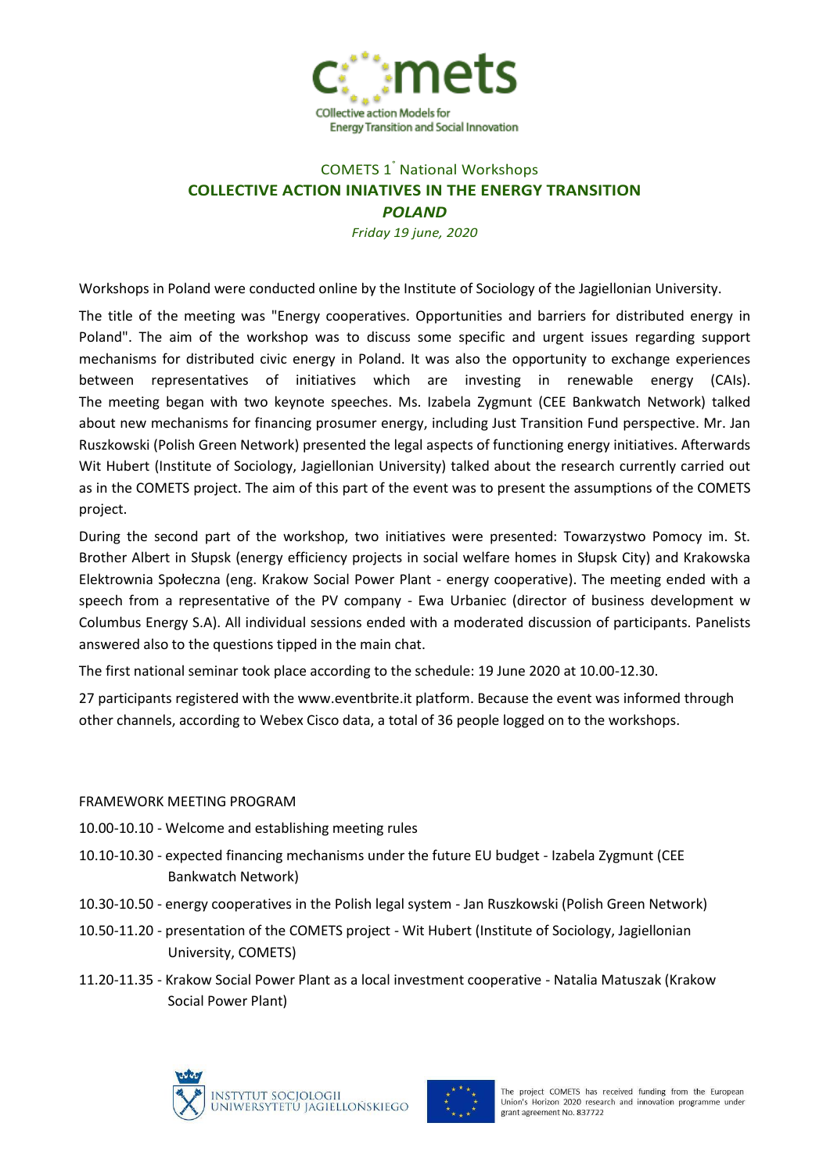

## COMETS 1° National Workshops **COLLECTIVE ACTION INIATIVES IN THE ENERGY TRANSITION** *POLAND*

*Friday 19 june, 2020*

Workshops in Poland were conducted online by the Institute of Sociology of the Jagiellonian University.

The title of the meeting was "Energy cooperatives. Opportunities and barriers for distributed energy in Poland". The aim of the workshop was to discuss some specific and urgent issues regarding support mechanisms for distributed civic energy in Poland. It was also the opportunity to exchange experiences between representatives of initiatives which are investing in renewable energy (CAIs). The meeting began with two keynote speeches. Ms. Izabela Zygmunt (CEE Bankwatch Network) talked about new mechanisms for financing prosumer energy, including Just Transition Fund perspective. Mr. Jan Ruszkowski (Polish Green Network) presented the legal aspects of functioning energy initiatives. Afterwards Wit Hubert (Institute of Sociology, Jagiellonian University) talked about the research currently carried out as in the COMETS project. The aim of this part of the event was to present the assumptions of the COMETS project.

During the second part of the workshop, two initiatives were presented: Towarzystwo Pomocy im. St. Brother Albert in Słupsk (energy efficiency projects in social welfare homes in Słupsk City) and Krakowska Elektrownia Społeczna (eng. Krakow Social Power Plant - energy cooperative). The meeting ended with a speech from a representative of the PV company - Ewa Urbaniec (director of business development w Columbus Energy S.A). All individual sessions ended with a moderated discussion of participants. Panelists answered also to the questions tipped in the main chat.

The first national seminar took place according to the schedule: 19 June 2020 at 10.00-12.30.

27 participants registered with the www.eventbrite.it platform. Because the event was informed through other channels, according to Webex Cisco data, a total of 36 people logged on to the workshops.

## FRAMEWORK MEETING PROGRAM

- 10.00-10.10 Welcome and establishing meeting rules
- 10.10-10.30 expected financing mechanisms under the future EU budget Izabela Zygmunt (CEE Bankwatch Network)
- 10.30-10.50 energy cooperatives in the Polish legal system Jan Ruszkowski (Polish Green Network)
- 10.50-11.20 presentation of the COMETS project Wit Hubert (Institute of Sociology, Jagiellonian University, COMETS)
- 11.20-11.35 Krakow Social Power Plant as a local investment cooperative Natalia Matuszak (Krakow Social Power Plant)





The project COMETS has received funding from the European Union's Horizon 2020 research and innovation programme under grant agreement No. 837722